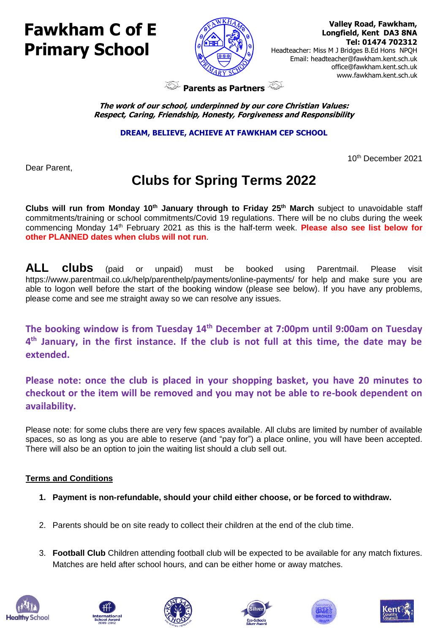# **Fawkham C of E Primary School**



 **Valley Road, Fawkham, Longfield, Kent DA3 8NA Tel: 01474 702312** 

Headteacher: Miss M J Bridges B.Ed Hons NPQH Email: headteacher@fawkham.kent.sch.uk [office@fawkham.kent.sch.uk](mailto:office@fawkham.kent.sch.uk) www.fawkham.kent.sch.uk

**Parents as Partners** 

**The work of our school, underpinned by our core Christian Values: Respect, Caring, Friendship, Honesty, Forgiveness and Responsibility**

**DREAM, BELIEVE, ACHIEVE AT FAWKHAM CEP SCHOOL**

Dear Parent,

### 10th December 2021

## **Clubs for Spring Terms 2022**

**Clubs will run from Monday 10th January through to Friday 25th March** subject to unavoidable staff commitments/training or school commitments/Covid 19 regulations. There will be no clubs during the week commencing Monday 14th February 2021 as this is the half-term week. **Please also see list below for other PLANNED dates when clubs will not run**.

**ALL clubs** (paid or unpaid) must be booked using Parentmail. Please visit https://www.parentmail.co.uk/help/parenthelp/payments/online-payments/ for help and make sure you are able to logon well before the start of the booking window (please see below). If you have any problems, please come and see me straight away so we can resolve any issues.

**The booking window is from Tuesday 14 th December at 7:00pm until 9:00am on Tuesday 4 th January, in the first instance. If the club is not full at this time, the date may be extended.** 

**Please note: once the club is placed in your shopping basket, you have 20 minutes to checkout or the item will be removed and you may not be able to re-book dependent on availability.**

Please note: for some clubs there are very few spaces available. All clubs are limited by number of available spaces, so as long as you are able to reserve (and "pay for") a place online, you will have been accepted. There will also be an option to join the waiting list should a club sell out.

### **Terms and Conditions**

- **1. Payment is non-refundable, should your child either choose, or be forced to withdraw.**
- 2. Parents should be on site ready to collect their children at the end of the club time.
- 3. **Football Club** Children attending football club will be expected to be available for any match fixtures. Matches are held after school hours, and can be either home or away matches.